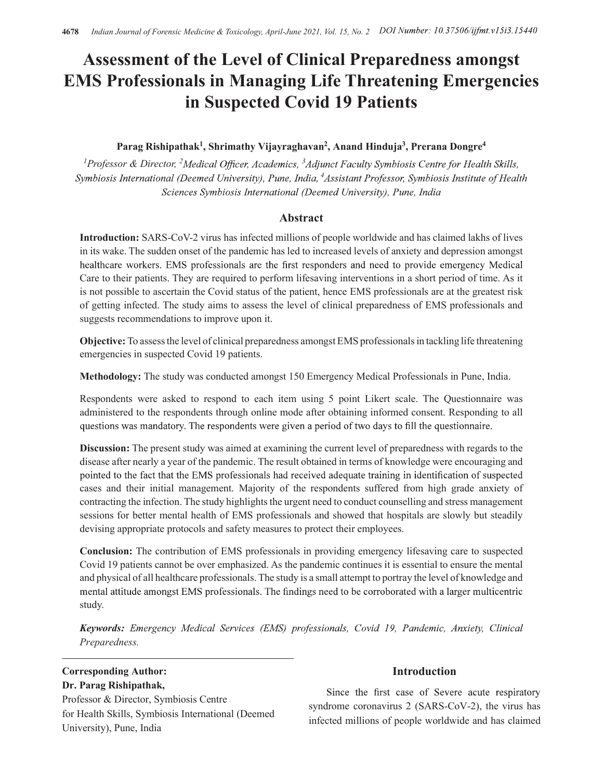# Assessment of the Level of Clinical Preparedness amongst EMS Professionals in Managing Life Threatening Emergencies in Suspected Covid 19 Patients

# Parag Rishipathak<sup>1</sup>, Shrimathy Vijayraghavan<sup>2</sup>, Anand Hinduja<sup>3</sup>, Prerana Dongre<sup>4</sup>

<sup>1</sup>Professor & Director, <sup>2</sup>Medical Officer, Academics, <sup>3</sup>Adjunct Faculty Symbiosis Centre for Health Skills, Symbiosis International (Deemed University), Pune, India, <sup>4</sup>Assistant Professor, Symbiosis Institute of Health Sciences Symbiosis International (Deemed University), Pune, India

## Abstract

Introduction: SARS-CoV-2 virus has infected millions of people worldwide and has claimed lakhs of lives in its wake. The sudden onset of the pandemic has led to increased levels of anxiety and depression amongst healthcare workers. EMS professionals are the first responders and need to provide emergency Medical Care to their patients. They are required to perform lifesaving interventions in a short period of time. As it is not possible to ascertain the Covid status of the patient, hence EMS professionals are at the greatest risk of getting infected. The study aims to assess the level of clinical preparedness of EMS professionals and suggests recommendations to improve upon it.

Objective: To assess the level of clinical preparedness amongst EMS professionals in tackling life threatening emergencies in suspected Covid 19 patients.

Methodology: The study was conducted amongst 150 Emergency Medical Professionals in Pune, India.

Respondents were asked to respond to each item using 5 point Likert scale. The Questionnaire was administered to the respondents through online mode after obtaining informed consent. Responding to all questions was mandatory. The respondents were given a period of two days to fill the questionnaire.

Discussion: The present study was aimed at examining the current level of preparedness with regards to the disease after nearly a year of the pandemic. The result obtained in terms of knowledge were encouraging and pointed to the fact that the EMS professionals had received adequate training in identification of suspected cases and their initial management. Majority of the respondents suffered from high grade anxiety of contracting the infection. The study highlights the urgent need to conduct counselling and stress management sessions for better mental health of EMS professionals and showed that hospitals are slowly but steadily devising appropriate protocols and safety measures to protect their employees.

Conclusion: The contribution of EMS professionals in providing emergency lifesaving care to suspected Covid 19 patients cannot be over emphasized. As the pandemic continues it is essential to ensure the mental and physical of all healthcare professionals. The study is a small attempt to portray the level of knowledge and mental attitude amongst EMS professionals. The findings need to be corroborated with a larger multicentric study.

Keywords: Emergency Medical Services (EMS) professionals, Covid 19, Pandemic, Anxiety, Clinical Preparedness.

# Corresponding Author: Dr. Parag Rishipathak,

Professor & Director, Symbiosis Centre for Health Skills, Symbiosis International (Deemed University), Pune, India

### Introduction

Since the first case of Severe acute respiratory syndrome coronavirus 2 (SARS-CoV-2), the virus has infected millions of people worldwide and has claimed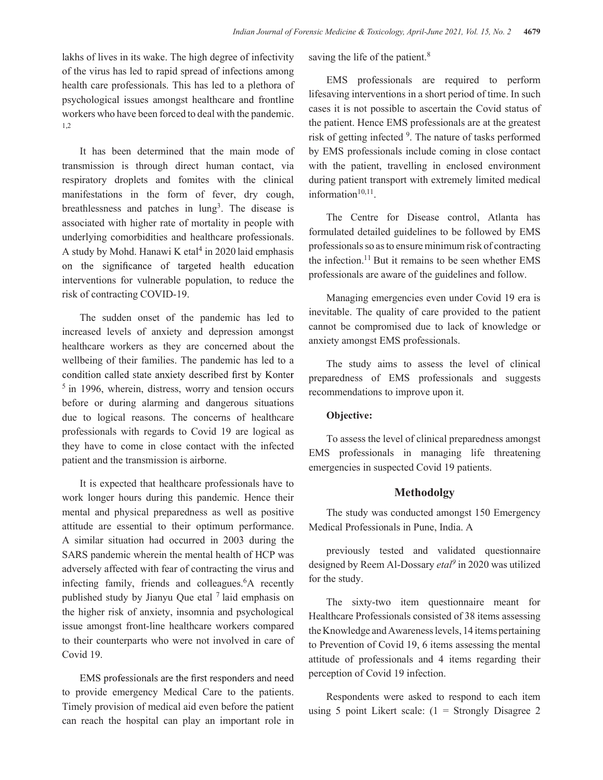lakhs of lives in its wake. The high degree of infectivity of the virus has led to rapid spread of infections among health care professionals. This has led to a plethora of psychological issues amongst healthcare and frontline workers who have been forced to deal with the pandemic. 1,2

It has been determined that the main mode of transmission is through direct human contact, via respiratory droplets and fomites with the clinical manifestations in the form of fever, dry cough, breathlessness and patches in lung<sup>3</sup>. The disease is associated with higher rate of mortality in people with underlying comorbidities and healthcare professionals. A study by Mohd. Hanawi K etal<sup>4</sup> in 2020 laid emphasis professionals so as to on the significance of targeted health education interventions for vulnerable population, to reduce the risk of contracting COVID-19.

The sudden onset of the pandemic has led to increased levels of anxiety and depression amongst healthcare workers as they are concerned about the wellbeing of their families. The pandemic has led to a condition called state anxiety described first by Konter <sup>5</sup> in 1996, wherein, distress, worry and tension occurs before or during alarming and dangerous situations due to logical reasons. The concerns of healthcare professionals with regards to Covid 19 are logical as they have to come in close contact with the infected patient and the transmission is airborne.

It is expected that healthcare professionals have to work longer hours during this pandemic. Hence their mental and physical preparedness as well as positive attitude are essential to their optimum performance. A similar situation had occurred in 2003 during the SARS pandemic wherein the mental health of HCP was adversely affected with fear of contracting the virus and infecting family, friends and colleagues.<sup>6</sup>A recently published study by Jianyu Que etal  $<sup>7</sup>$  laid emphasis on</sup> the higher risk of anxiety, insomnia and psychological issue amongst front-line healthcare workers compared to their counterparts who were not involved in care of Covid 19.

EMS professionals are the first responders and need to provide emergency Medical Care to the patients. Timely provision of medical aid even before the patient can reach the hospital can play an important role in saving the life of the patient.<sup>8</sup>

EMS professionals are required to perform lifesaving interventions in a short period of time. In such cases it is not possible to ascertain the Covid status of the patient. Hence EMS professionals are at the greatest risk of getting infected <sup>9</sup>. The nature of tasks performed by EMS professionals include coming in close contact with the patient, travelling in enclosed environment during patient transport with extremely limited medical information $10,11$ .

. The Centre for Disease control, Atlanta has formulated detailed guidelines to be followed by EMS professionals so as to ensure minimum risk of contracting the infection.<sup>11</sup> But it remains to be seen whether EMS professionals are aware of the guidelines and follow.

Managing emergencies even under Covid 19 era is inevitable. The quality of care provided to the patient cannot be compromised due to lack of knowledge or anxiety amongst EMS professionals.

The study aims to assess the level of clinical preparedness of EMS professionals and suggests recommendations to improve upon it.

#### Objective:

To assess the level of clinical preparedness amongst EMS professionals in managing life threatening emergencies in suspected Covid 19 patients.

#### Methodolgy

The study was conducted amongst 150 Emergency Medical Professionals in Pune, India. A

previously tested and validated questionnaire designed by Reem Al-Dossary  $eta^9$  in 2020 was utilized for the study.

The sixty-two item questionnaire meant for Healthcare Professionals consisted of 38 items assessing the Knowledge and Awareness levels, 14 items pertaining to Prevention of Covid 19, 6 items assessing the mental attitude of professionals and 4 items regarding their perception of Covid 19 infection.

Respondents were asked to respond to each item using 5 point Likert scale:  $(1 -$  Strongly Disagree 2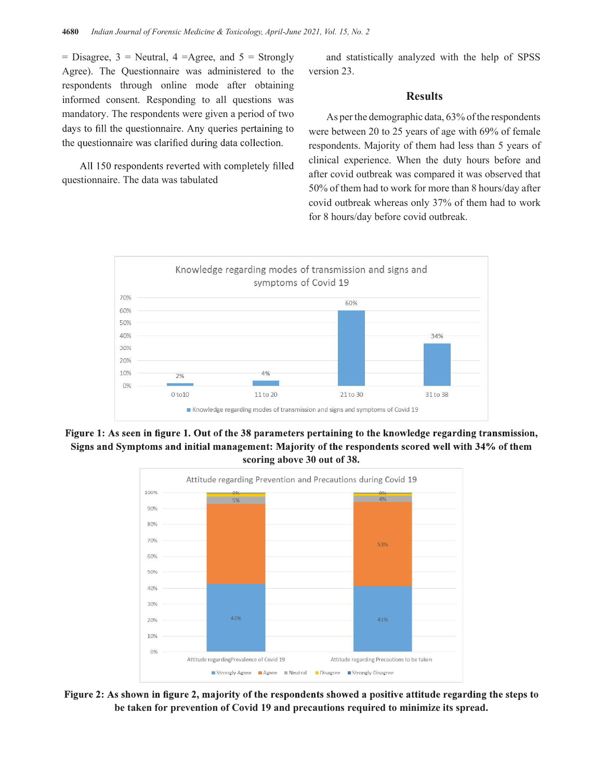$=$  Disagree, 3 = Neutral, 4 = Agree, and 5 = Strongly Agree). The Questionnaire was administered to the respondents through online mode after obtaining informed consent. Responding to all questions was mandatory. The respondents were given a period of two days to fill the questionnaire. Any queries pertaining to the questionnaire was clarified during data collection.

All 150 respondents reverted with completely filled questionnaire. The data was tabulated

and statistically analyzed with the help of SPSS version 23.

#### **Results**

As per the demographic data, 63% of the respondents were between 20 to 25 years of age with 69% of female respondents. Majority of them had less than 5 years of clinical experience. When the duty hours before and after covid outbreak was compared it was observed that 50% of them had to work for more than 8 hours/day after covid outbreak whereas only 37% of them had to work for 8 hours/day before covid outbreak.



Figure 1: As seen in figure 1. Out of the 38 parameters pertaining to the knowledge regarding transmission, Signs and Symptoms and initial management: Majority of the respondents scored well with 34% of them scoring above 30 out of 38.



Figure 2: As shown in figure 2, majority of the respondents showed a positive attitude regarding the steps to be taken for prevention of Covid 19 and precautions required to minimize its spread.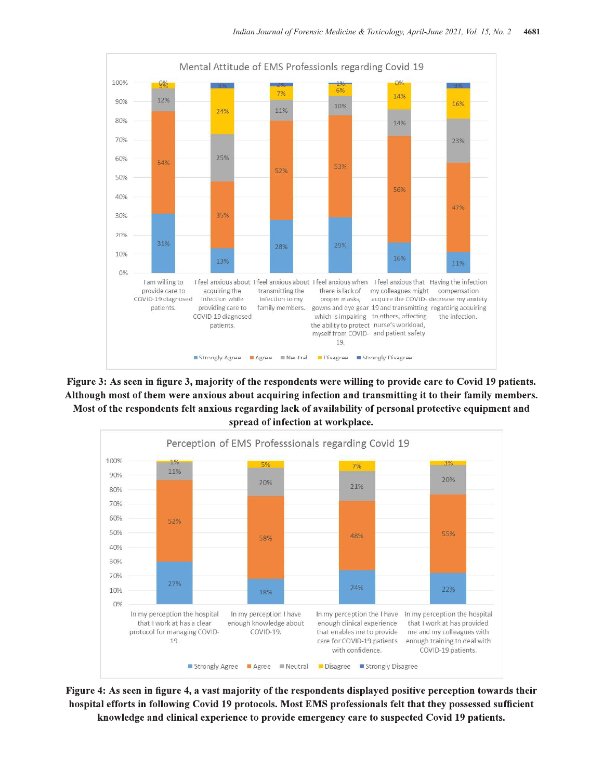

Figure 3: As seen in figure 3, majority of the respondents were willing to provide care to Covid 19 patients. Although most of them were anxious about acquiring infection and transmitting it to their family members. Most of the respondents felt anxious regarding lack of availability of personal protective equipment and spread of infection at workplace.



Figure 4: As seen in figure 4, a vast majority of the respondents displayed positive perception towards their hospital efforts in following Covid 19 protocols. Most EMS professionals felt that they possessed sufficient knowledge and clinical experience to provide emergency care to suspected Covid 19 patients.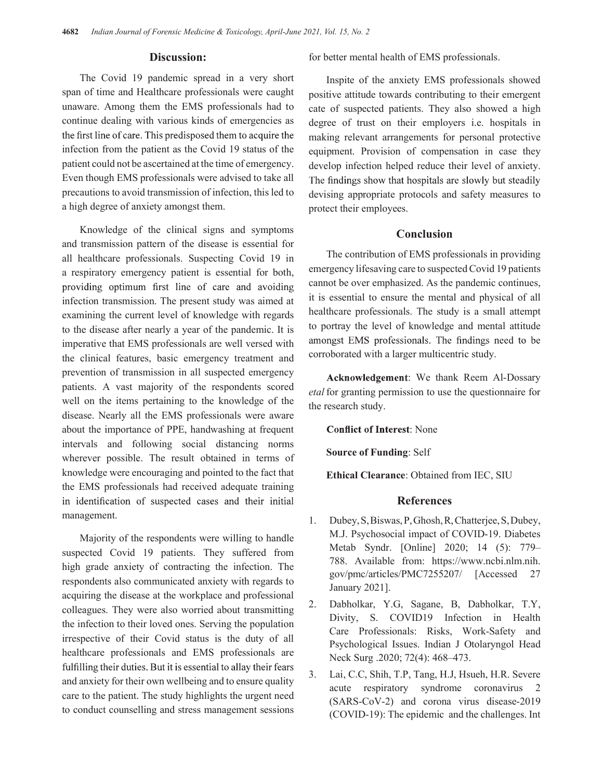#### Discussion:

The Covid 19 pandemic spread in a very short span of time and Healthcare professionals were caught unaware. Among them the EMS professionals had to continue dealing with various kinds of emergencies as the first line of care. This predisposed them to acquire the infection from the patient as the Covid 19 status of the patient could not be ascertained at the time of emergency. Even though EMS professionals were advised to take all The findings show that hospitals are slowly but steadily precautions to avoid transmission of infection, this led to a high degree of anxiety amongst them.

Knowledge of the clinical signs and symptoms and transmission pattern of the disease is essential for all healthcare professionals. Suspecting Covid 19 in a respiratory emergency patient is essential for both, providing optimum first line of care and avoiding infection transmission. The present study was aimed at examining the current level of knowledge with regards to the disease after nearly a year of the pandemic. It is to portray the level of knowledge and mental attitude<br>imperative that EMS professionals are well versed with amongst EMS professionals. The findings need to be imperative that EMS professionals are well versed with the clinical features, basic emergency treatment and prevention of transmission in all suspected emergency patients. A vast majority of the respondents scored well on the items pertaining to the knowledge of the disease. Nearly all the EMS professionals were aware about the importance of PPE, handwashing at frequent intervals and following social distancing norms wherever possible. The result obtained in terms of knowledge were encouraging and pointed to the fact that the EMS professionals had received adequate training in identification of suspected cases and their initial management.

Majority of the respondents were willing to handle suspected Covid 19 patients. They suffered from high grade anxiety of contracting the infection. The respondents also communicated anxiety with regards to acquiring the disease at the workplace and professional colleagues. They were also worried about transmitting the infection to their loved ones. Serving the population irrespective of their Covid status is the duty of all healthcare professionals and EMS professionals are fulfilling their duties. But it is essential to allay their fears and anxiety for their own wellbeing and to ensure quality<br>acute respiratory<br>respiratory care to the patient. The study highlights the urgent need to conduct counselling and stress management sessions

for better mental health of EMS professionals.

Inspite of the anxiety EMS professionals showed positive attitude towards contributing to their emergent cate of suspected patients. They also showed a high degree of trust on their employers i.e. hospitals in making relevant arrangements for personal protective equipment. Provision of compensation in case they develop infection helped reduce their level of anxiety. devising appropriate protocols and safety measures to protect their employees.

#### Conclusion

The contribution of EMS professionals in providing emergency lifesaving care to suspected Covid 19 patients cannot be over emphasized. As the pandemic continues, it is essential to ensure the mental and physical of all healthcare professionals. The study is a small attempt to portray the level of knowledge and mental attitude corroborated with a larger multicentric study.

Acknowledgement: We thank Reem Al-Dossary etal for granting permission to use the questionnaire for the research study.

**Conflict of Interest: None** 

Source of Funding: Self

Ethical Clearance: Obtained from IEC, SIU

#### References

- 1. Dubey, S, Biswas, P, Ghosh, R, Chatterjee, S, Dubey, M.J. Psychosocial impact of COVID-19. Diabetes Metab Syndr. [Online] 2020; 14 (5): 779– 788. Available from: https://www.ncbi.nlm.nih. gov/pmc/articles/PMC7255207/ [Accessed 27 January 2021].
- 2. Dabholkar, Y.G, Sagane, B, Dabholkar, T.Y, Divity, S. COVID19 Infection in Health Care Professionals: Risks, Work-Safety and Psychological Issues. Indian J Otolaryngol Head Neck Surg .2020; 72(4): 468–473.
- 3. Lai, C.C, Shih, T.P, Tang, H.J, Hsueh, H.R. Severe syndrome coronavirus 2 (SARS-CoV-2) and corona virus disease-2019 (COVID-19): The epidemic and the challenges. Int